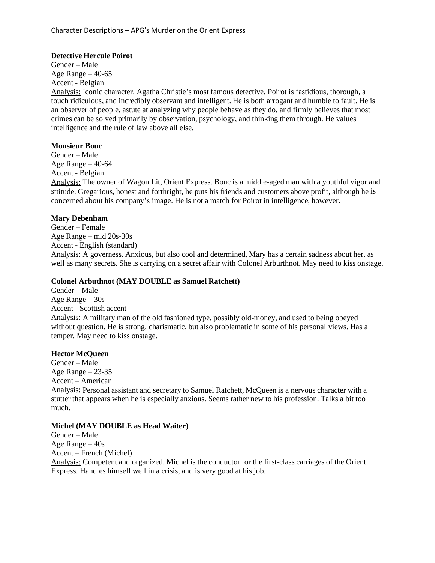#### **Detective Hercule Poirot**

Gender – Male Age Range  $-40-65$ Accent - Belgian

Analysis: Iconic character. Agatha Christie's most famous detective. Poirot is fastidious, thorough, a touch ridiculous, and incredibly observant and intelligent. He is both arrogant and humble to fault. He is an observer of people, astute at analyzing why people behave as they do, and firmly believes that most crimes can be solved primarily by observation, psychology, and thinking them through. He values intelligence and the rule of law above all else.

#### **Monsieur Bouc**

Gender – Male Age Range – 40-64 Accent - Belgian Analysis: The owner of Wagon Lit, Orient Express. Bouc is a middle-aged man with a youthful vigor and sttitude. Gregarious, honest and forthright, he puts his friends and customers above profit, although he is concerned about his company's image. He is not a match for Poirot in intelligence, however.

#### **Mary Debenham**

Gender – Female Age Range – mid 20s-30s Accent - English (standard) Analysis: A governess. Anxious, but also cool and determined, Mary has a certain sadness about her, as well as many secrets. She is carrying on a secret affair with Colonel Arburthnot. May need to kiss onstage.

## **Colonel Arbuthnot (MAY DOUBLE as Samuel Ratchett)**

Gender – Male Age Range – 30s Accent - Scottish accent Analysis: A military man of the old fashioned type, possibly old-money, and used to being obeyed without question. He is strong, charismatic, but also problematic in some of his personal views. Has a temper. May need to kiss onstage.

#### **Hector McQueen**

Gender – Male Age Range – 23-35 Accent – American Analysis: Personal assistant and secretary to Samuel Ratchett, McQueen is a nervous character with a stutter that appears when he is especially anxious. Seems rather new to his profession. Talks a bit too much.

#### **Michel (MAY DOUBLE as Head Waiter)**

Gender – Male Age Range – 40s Accent – French (Michel) Analysis: Competent and organized, Michel is the conductor for the first-class carriages of the Orient Express. Handles himself well in a crisis, and is very good at his job.